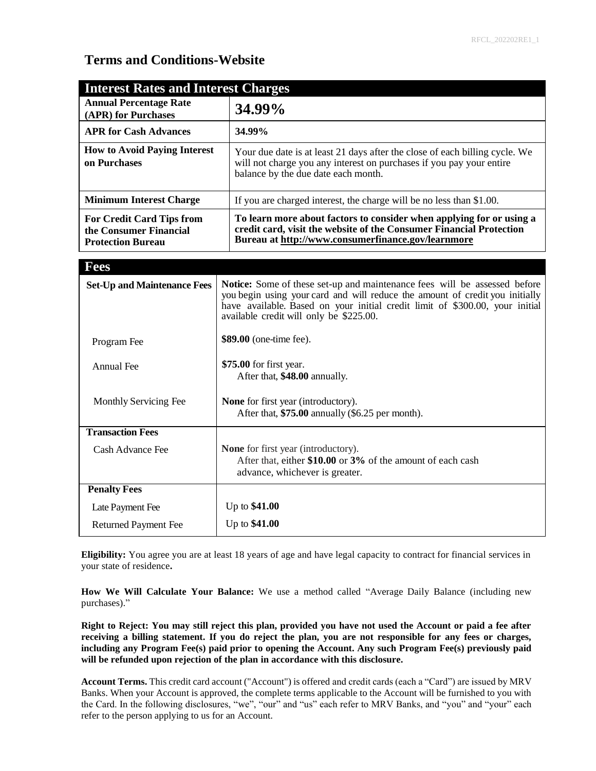# **Terms and Conditions-Website**

| <b>Interest Rates and Interest Charges</b>                                             |                                                                                                                                                                                                   |
|----------------------------------------------------------------------------------------|---------------------------------------------------------------------------------------------------------------------------------------------------------------------------------------------------|
| <b>Annual Percentage Rate</b><br>(APR) for Purchases                                   | 34.99%                                                                                                                                                                                            |
| <b>APR for Cash Advances</b>                                                           | 34.99%                                                                                                                                                                                            |
| <b>How to Avoid Paying Interest</b><br>on Purchases                                    | Your due date is at least 21 days after the close of each billing cycle. We<br>will not charge you any interest on purchases if you pay your entire<br>balance by the due date each month.        |
| <b>Minimum Interest Charge</b>                                                         | If you are charged interest, the charge will be no less than \$1.00.                                                                                                                              |
| <b>For Credit Card Tips from</b><br>the Consumer Financial<br><b>Protection Bureau</b> | To learn more about factors to consider when applying for or using a<br>credit card, visit the website of the Consumer Financial Protection<br>Bureau at http://www.consumerfinance.gov/learnmore |

| <b>Fees</b>                        |                                                                                                                                                                                                                                                                                      |
|------------------------------------|--------------------------------------------------------------------------------------------------------------------------------------------------------------------------------------------------------------------------------------------------------------------------------------|
| <b>Set-Up and Maintenance Fees</b> | Notice: Some of these set-up and maintenance fees will be assessed before<br>you begin using your card and will reduce the amount of credit you initially<br>have available. Based on your initial credit limit of \$300.00, your initial<br>available credit will only be \$225.00. |
| Program Fee                        | \$89.00 (one-time fee).                                                                                                                                                                                                                                                              |
| Annual Fee                         | \$75.00 for first year.<br>After that, \$48.00 annually.                                                                                                                                                                                                                             |
| Monthly Servicing Fee              | <b>None</b> for first year (introductory).<br>After that, \$75.00 annually (\$6.25 per month).                                                                                                                                                                                       |
| <b>Transaction Fees</b>            |                                                                                                                                                                                                                                                                                      |
| Cash Advance Fee                   | <b>None</b> for first year (introductory).<br>After that, either \$10.00 or 3% of the amount of each cash<br>advance, whichever is greater.                                                                                                                                          |
| <b>Penalty Fees</b>                |                                                                                                                                                                                                                                                                                      |
| Late Payment Fee                   | Up to $$41.00$                                                                                                                                                                                                                                                                       |
| <b>Returned Payment Fee</b>        | Up to \$41.00                                                                                                                                                                                                                                                                        |

**Eligibility:** You agree you are at least 18 years of age and have legal capacity to contract for financial services in your state of residence**.**

**How We Will Calculate Your Balance:** We use a method called "Average Daily Balance (including new purchases)."

**Right to Reject: You may still reject this plan, provided you have not used the Account or paid a fee after receiving a billing statement. If you do reject the plan, you are not responsible for any fees or charges, including any Program Fee(s) paid prior to opening the Account. Any such Program Fee(s) previously paid will be refunded upon rejection of the plan in accordance with this disclosure.**

**Account Terms.** This credit card account ("Account") is offered and credit cards (each a "Card") are issued by MRV Banks. When your Account is approved, the complete terms applicable to the Account will be furnished to you with the Card. In the following disclosures, "we", "our" and "us" each refer to MRV Banks, and "you" and "your" each refer to the person applying to us for an Account.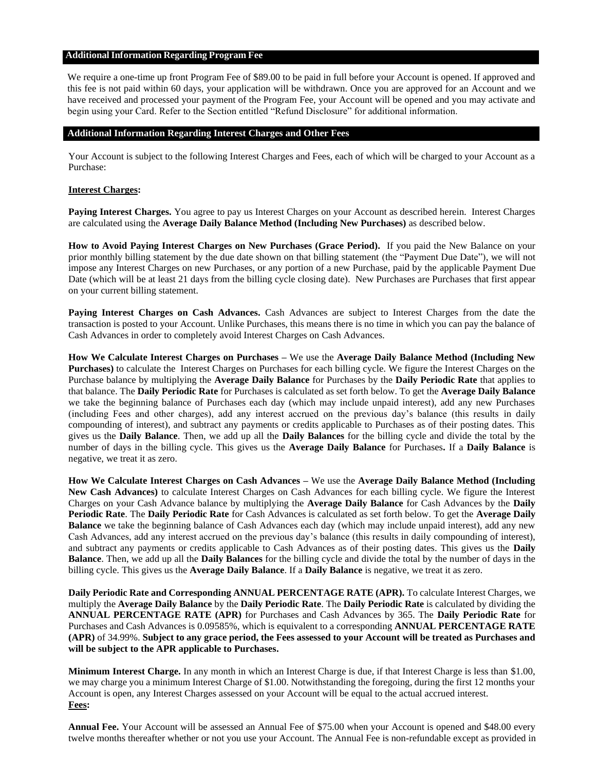#### **AdditionalInformation Regarding Program Fee**

We require a one-time up front Program Fee of \$89.00 to be paid in full before your Account is opened. If approved and this fee is not paid within 60 days, your application will be withdrawn. Once you are approved for an Account and we have received and processed your payment of the Program Fee, your Account will be opened and you may activate and begin using your Card. Refer to the Section entitled "Refund Disclosure" for additional information.

#### **Additional Information Regarding Interest Charges and Other Fees**

Your Account is subject to the following Interest Charges and Fees, each of which will be charged to your Account as a Purchase:

#### **Interest Charges:**

**Paying Interest Charges.** You agree to pay us Interest Charges on your Account as described herein. Interest Charges are calculated using the **Average Daily Balance Method (Including New Purchases)** as described below.

**How to Avoid Paying Interest Charges on New Purchases (Grace Period).** If you paid the New Balance on your prior monthly billing statement by the due date shown on that billing statement (the "Payment Due Date"), we will not impose any Interest Charges on new Purchases, or any portion of a new Purchase, paid by the applicable Payment Due Date (which will be at least 21 days from the billing cycle closing date). New Purchases are Purchases that first appear on your current billing statement.

**Paying Interest Charges on Cash Advances.** Cash Advances are subject to Interest Charges from the date the transaction is posted to your Account. Unlike Purchases, this means there is no time in which you can pay the balance of Cash Advances in order to completely avoid Interest Charges on Cash Advances.

**How We Calculate Interest Charges on Purchases –** We use the **Average Daily Balance Method (Including New Purchases)** to calculate the Interest Charges on Purchases for each billing cycle. We figure the Interest Charges on the Purchase balance by multiplying the **Average Daily Balance** for Purchases by the **Daily Periodic Rate** that applies to that balance. The **Daily Periodic Rate** for Purchases is calculated as set forth below. To get the **Average Daily Balance**  we take the beginning balance of Purchases each day (which may include unpaid interest), add any new Purchases (including Fees and other charges), add any interest accrued on the previous day's balance (this results in daily compounding of interest), and subtract any payments or credits applicable to Purchases as of their posting dates. This gives us the **Daily Balance**. Then, we add up all the **Daily Balances** for the billing cycle and divide the total by the number of days in the billing cycle. This gives us the **Average Daily Balance** for Purchases**.** If a **Daily Balance** is negative, we treat it as zero.

**How We Calculate Interest Charges on Cash Advances –** We use the **Average Daily Balance Method (Including New Cash Advances)** to calculate Interest Charges on Cash Advances for each billing cycle. We figure the Interest Charges on your Cash Advance balance by multiplying the **Average Daily Balance** for Cash Advances by the **Daily Periodic Rate**. The **Daily Periodic Rate** for Cash Advances is calculated as set forth below. To get the **Average Daily Balance** we take the beginning balance of Cash Advances each day (which may include unpaid interest), add any new Cash Advances, add any interest accrued on the previous day's balance (this results in daily compounding of interest), and subtract any payments or credits applicable to Cash Advances as of their posting dates. This gives us the **Daily Balance**. Then, we add up all the **Daily Balances** for the billing cycle and divide the total by the number of days in the billing cycle. This gives us the **Average Daily Balance**. If a **Daily Balance** is negative, we treat it as zero.

**Daily Periodic Rate and Corresponding ANNUAL PERCENTAGE RATE (APR).** To calculate Interest Charges, we multiply the **Average Daily Balance** by the **Daily Periodic Rate**. The **Daily Periodic Rate** is calculated by dividing the **ANNUAL PERCENTAGE RATE (APR)** for Purchases and Cash Advances by 365. The **Daily Periodic Rate** for Purchases and Cash Advances is 0.09585%, which is equivalent to a corresponding **ANNUAL PERCENTAGE RATE (APR)** of 34.99%. **Subject to any grace period, the Fees assessed to your Account will be treated as Purchases and will be subject to the APR applicable to Purchases.**

**Minimum Interest Charge.** In any month in which an Interest Charge is due, if that Interest Charge is less than \$1.00, we may charge you a minimum Interest Charge of \$1.00. Notwithstanding the foregoing, during the first 12 months your Account is open, any Interest Charges assessed on your Account will be equal to the actual accrued interest. **Fees:**

**Annual Fee.** Your Account will be assessed an Annual Fee of \$75.00 when your Account is opened and \$48.00 every twelve months thereafter whether or not you use your Account. The Annual Fee is non-refundable except as provided in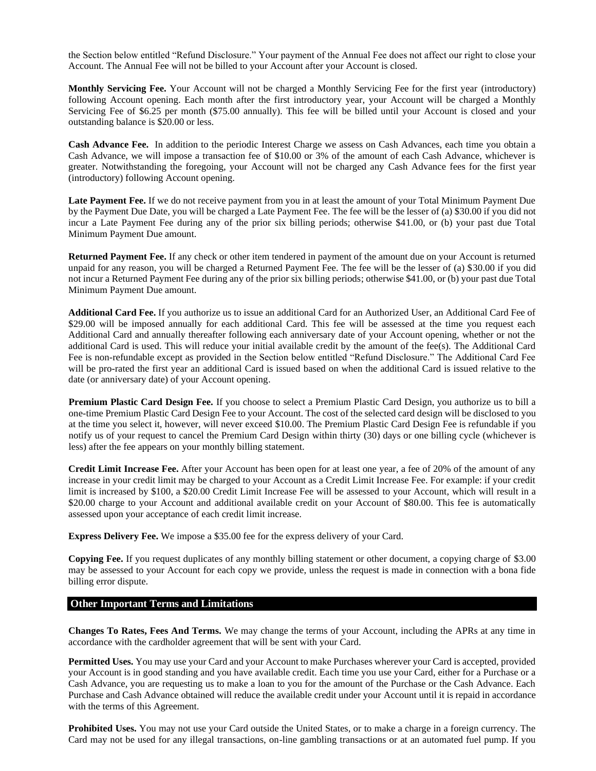the Section below entitled "Refund Disclosure." Your payment of the Annual Fee does not affect our right to close your Account. The Annual Fee will not be billed to your Account after your Account is closed.

**Monthly Servicing Fee.** Your Account will not be charged a Monthly Servicing Fee for the first year (introductory) following Account opening. Each month after the first introductory year, your Account will be charged a Monthly Servicing Fee of \$6.25 per month (\$75.00 annually). This fee will be billed until your Account is closed and your outstanding balance is \$20.00 or less.

**Cash Advance Fee.** In addition to the periodic Interest Charge we assess on Cash Advances, each time you obtain a Cash Advance, we will impose a transaction fee of \$10.00 or 3% of the amount of each Cash Advance, whichever is greater. Notwithstanding the foregoing, your Account will not be charged any Cash Advance fees for the first year (introductory) following Account opening.

**Late Payment Fee.** If we do not receive payment from you in at least the amount of your Total Minimum Payment Due by the Payment Due Date, you will be charged a Late Payment Fee. The fee will be the lesser of (a) \$30.00 if you did not incur a Late Payment Fee during any of the prior six billing periods; otherwise \$41.00, or (b) your past due Total Minimum Payment Due amount.

**Returned Payment Fee.** If any check or other item tendered in payment of the amount due on your Account is returned unpaid for any reason, you will be charged a Returned Payment Fee. The fee will be the lesser of (a) \$30.00 if you did not incur a Returned Payment Fee during any of the prior six billing periods; otherwise \$41.00, or (b) your past due Total Minimum Payment Due amount.

**Additional Card Fee.** If you authorize us to issue an additional Card for an Authorized User, an Additional Card Fee of \$29.00 will be imposed annually for each additional Card. This fee will be assessed at the time you request each Additional Card and annually thereafter following each anniversary date of your Account opening, whether or not the additional Card is used. This will reduce your initial available credit by the amount of the fee(s). The Additional Card Fee is non-refundable except as provided in the Section below entitled "Refund Disclosure." The Additional Card Fee will be pro-rated the first year an additional Card is issued based on when the additional Card is issued relative to the date (or anniversary date) of your Account opening.

**Premium Plastic Card Design Fee.** If you choose to select a Premium Plastic Card Design, you authorize us to bill a one-time Premium Plastic Card Design Fee to your Account. The cost of the selected card design will be disclosed to you at the time you select it, however, will never exceed \$10.00. The Premium Plastic Card Design Fee is refundable if you notify us of your request to cancel the Premium Card Design within thirty (30) days or one billing cycle (whichever is less) after the fee appears on your monthly billing statement.

**Credit Limit Increase Fee.** After your Account has been open for at least one year, a fee of 20% of the amount of any increase in your credit limit may be charged to your Account as a Credit Limit Increase Fee. For example: if your credit limit is increased by \$100, a \$20.00 Credit Limit Increase Fee will be assessed to your Account, which will result in a \$20.00 charge to your Account and additional available credit on your Account of \$80.00. This fee is automatically assessed upon your acceptance of each credit limit increase.

**Express Delivery Fee.** We impose a \$35.00 fee for the express delivery of your Card.

**Copying Fee.** If you request duplicates of any monthly billing statement or other document, a copying charge of \$3.00 may be assessed to your Account for each copy we provide, unless the request is made in connection with a bona fide billing error dispute.

# **Other Important Terms and Limitations**

**Changes To Rates, Fees And Terms.** We may change the terms of your Account, including the APRs at any time in accordance with the cardholder agreement that will be sent with your Card.

**Permitted Uses.** You may use your Card and your Account to make Purchases wherever your Card is accepted, provided your Account is in good standing and you have available credit. Each time you use your Card, either for a Purchase or a Cash Advance, you are requesting us to make a loan to you for the amount of the Purchase or the Cash Advance. Each Purchase and Cash Advance obtained will reduce the available credit under your Account until it is repaid in accordance with the terms of this Agreement.

**Prohibited Uses.** You may not use your Card outside the United States, or to make a charge in a foreign currency. The Card may not be used for any illegal transactions, on-line gambling transactions or at an automated fuel pump. If you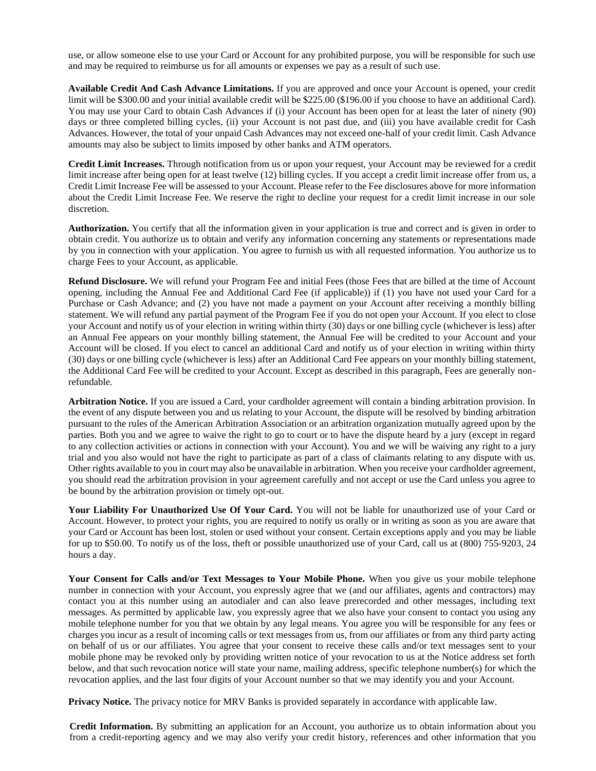use, or allow someone else to use your Card or Account for any prohibited purpose, you will be responsible for such use and may be required to reimburse us for all amounts or expenses we pay as a result of such use.

**Available Credit And Cash Advance Limitations.** If you are approved and once your Account is opened, your credit limit will be \$300.00 and your initial available credit will be \$225.00 (\$196.00 if you choose to have an additional Card). You may use your Card to obtain Cash Advances if (i) your Account has been open for at least the later of ninety (90) days or three completed billing cycles, (ii) your Account is not past due, and (iii) you have available credit for Cash Advances. However, the total of your unpaid Cash Advances may not exceed one-half of your credit limit. Cash Advance amounts may also be subject to limits imposed by other banks and ATM operators.

**Credit Limit Increases.** Through notification from us or upon your request, your Account may be reviewed for a credit limit increase after being open for at least twelve (12) billing cycles. If you accept a credit limit increase offer from us, a Credit Limit Increase Fee will be assessed to your Account. Please refer to the Fee disclosures above for more information about the Credit Limit Increase Fee. We reserve the right to decline your request for a credit limit increase in our sole discretion.

**Authorization.** You certify that all the information given in your application is true and correct and is given in order to obtain credit. You authorize us to obtain and verify any information concerning any statements or representations made by you in connection with your application. You agree to furnish us with all requested information. You authorize us to charge Fees to your Account, as applicable.

**Refund Disclosure.** We will refund your Program Fee and initial Fees (those Fees that are billed at the time of Account opening, including the Annual Fee and Additional Card Fee (if applicable)) if (1) you have not used your Card for a Purchase or Cash Advance; and (2) you have not made a payment on your Account after receiving a monthly billing statement. We will refund any partial payment of the Program Fee if you do not open your Account. If you elect to close your Account and notify us of your election in writing within thirty (30) days or one billing cycle (whichever is less) after an Annual Fee appears on your monthly billing statement, the Annual Fee will be credited to your Account and your Account will be closed. If you elect to cancel an additional Card and notify us of your election in writing within thirty (30) days or one billing cycle (whichever is less) after an Additional Card Fee appears on your monthly billing statement, the Additional Card Fee will be credited to your Account. Except as described in this paragraph, Fees are generally nonrefundable.

**Arbitration Notice.** If you are issued a Card, your cardholder agreement will contain a binding arbitration provision. In the event of any dispute between you and us relating to your Account, the dispute will be resolved by binding arbitration pursuant to the rules of the American Arbitration Association or an arbitration organization mutually agreed upon by the parties. Both you and we agree to waive the right to go to court or to have the dispute heard by a jury (except in regard to any collection activities or actions in connection with your Account). You and we will be waiving any right to a jury trial and you also would not have the right to participate as part of a class of claimants relating to any dispute with us. Other rights available to you in court may also be unavailable in arbitration. When you receive your cardholder agreement, you should read the arbitration provision in your agreement carefully and not accept or use the Card unless you agree to be bound by the arbitration provision or timely opt-out.

**Your Liability For Unauthorized Use Of Your Card.** You will not be liable for unauthorized use of your Card or Account. However, to protect your rights, you are required to notify us orally or in writing as soon as you are aware that your Card or Account has been lost, stolen or used without your consent. Certain exceptions apply and you may be liable for up to \$50.00. To notify us of the loss, theft or possible unauthorized use of your Card, call us at (800) 755-9203, 24 hours a day.

Your Consent for Calls and/or Text Messages to Your Mobile Phone. When you give us your mobile telephone number in connection with your Account, you expressly agree that we (and our affiliates, agents and contractors) may contact you at this number using an autodialer and can also leave prerecorded and other messages, including text messages. As permitted by applicable law, you expressly agree that we also have your consent to contact you using any mobile telephone number for you that we obtain by any legal means. You agree you will be responsible for any fees or charges you incur as a result of incoming calls or text messages from us, from our affiliates or from any third party acting on behalf of us or our affiliates. You agree that your consent to receive these calls and/or text messages sent to your mobile phone may be revoked only by providing written notice of your revocation to us at the Notice address set forth below, and that such revocation notice will state your name, mailing address, specific telephone number(s) for which the revocation applies, and the last four digits of your Account number so that we may identify you and your Account.

**Privacy Notice.** The privacy notice for MRV Banks is provided separately in accordance with applicable law.

**Credit Information.** By submitting an application for an Account, you authorize us to obtain information about you from a credit-reporting agency and we may also verify your credit history, references and other information that you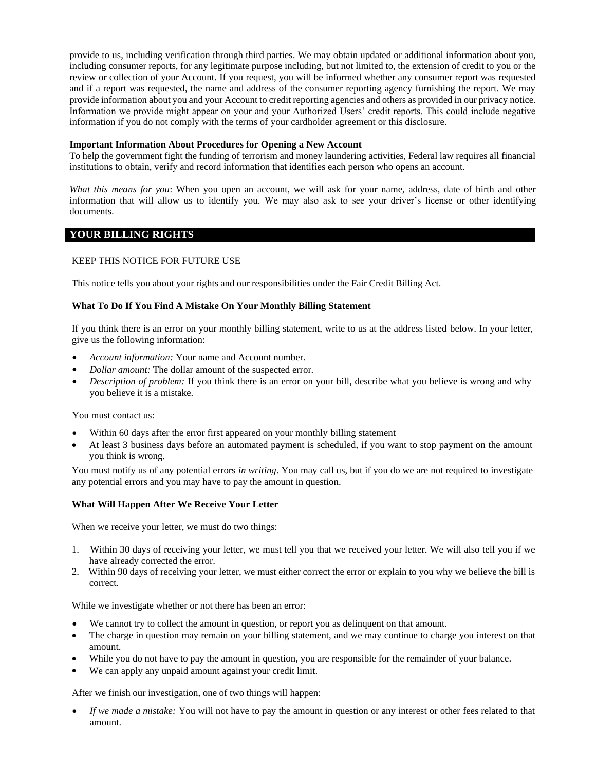provide to us, including verification through third parties. We may obtain updated or additional information about you, including consumer reports, for any legitimate purpose including, but not limited to, the extension of credit to you or the review or collection of your Account. If you request, you will be informed whether any consumer report was requested and if a report was requested, the name and address of the consumer reporting agency furnishing the report. We may provide information about you and your Account to credit reporting agencies and others as provided in our privacy notice. Information we provide might appear on your and your Authorized Users' credit reports. This could include negative information if you do not comply with the terms of your cardholder agreement or this disclosure.

### **Important Information About Procedures for Opening a New Account**

To help the government fight the funding of terrorism and money laundering activities, Federal law requires all financial institutions to obtain, verify and record information that identifies each person who opens an account.

*What this means for you*: When you open an account, we will ask for your name, address, date of birth and other information that will allow us to identify you. We may also ask to see your driver's license or other identifying documents.

## **YOUR BILLING RIGHTS**

## KEEP THIS NOTICE FOR FUTURE USE

This notice tells you about your rights and our responsibilities under the Fair Credit Billing Act.

## **What To Do If You Find A Mistake On Your Monthly Billing Statement**

If you think there is an error on your monthly billing statement, write to us at the address listed below. In your letter, give us the following information:

- *Account information:* Your name and Account number.
- *Dollar amount:* The dollar amount of the suspected error.
- *Description of problem:* If you think there is an error on your bill, describe what you believe is wrong and why you believe it is a mistake.

You must contact us:

- Within 60 days after the error first appeared on your monthly billing statement
- At least 3 business days before an automated payment is scheduled, if you want to stop payment on the amount you think is wrong.

You must notify us of any potential errors *in writing*. You may call us, but if you do we are not required to investigate any potential errors and you may have to pay the amount in question.

### **What Will Happen After We Receive Your Letter**

When we receive your letter, we must do two things:

- 1. Within 30 days of receiving your letter, we must tell you that we received your letter. We will also tell you if we have already corrected the error.
- 2. Within 90 days of receiving your letter, we must either correct the error or explain to you why we believe the bill is correct.

While we investigate whether or not there has been an error:

- We cannot try to collect the amount in question, or report you as delinquent on that amount.
- The charge in question may remain on your billing statement, and we may continue to charge you interest on that amount.
- While you do not have to pay the amount in question, you are responsible for the remainder of your balance.
- We can apply any unpaid amount against your credit limit.

After we finish our investigation, one of two things will happen:

• *If we made a mistake:* You will not have to pay the amount in question or any interest or other fees related to that amount.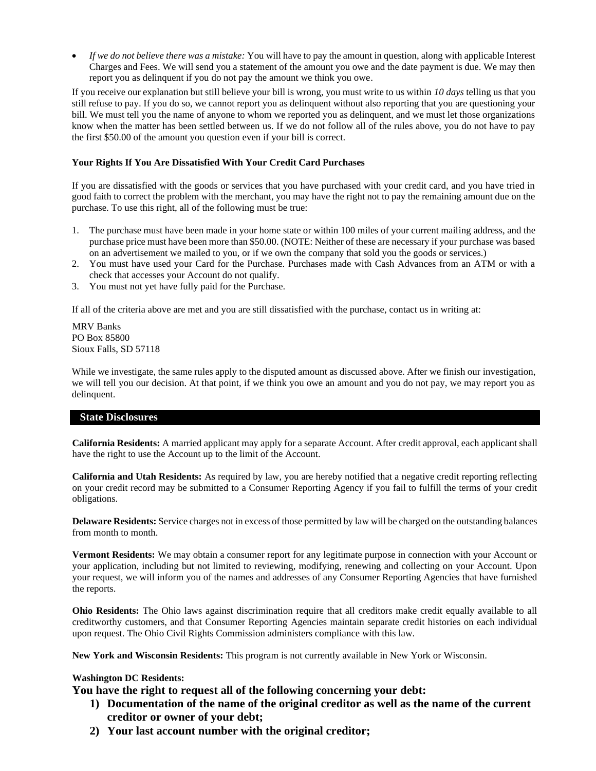• *If we do not believe there was a mistake:* You will have to pay the amount in question, along with applicable Interest Charges and Fees. We will send you a statement of the amount you owe and the date payment is due. We may then report you as delinquent if you do not pay the amount we think you owe.

If you receive our explanation but still believe your bill is wrong, you must write to us within *10 days* telling us that you still refuse to pay. If you do so, we cannot report you as delinquent without also reporting that you are questioning your bill. We must tell you the name of anyone to whom we reported you as delinquent, and we must let those organizations know when the matter has been settled between us. If we do not follow all of the rules above, you do not have to pay the first \$50.00 of the amount you question even if your bill is correct.

# **Your Rights If You Are Dissatisfied With Your Credit Card Purchases**

If you are dissatisfied with the goods or services that you have purchased with your credit card, and you have tried in good faith to correct the problem with the merchant, you may have the right not to pay the remaining amount due on the purchase. To use this right, all of the following must be true:

- 1. The purchase must have been made in your home state or within 100 miles of your current mailing address, and the purchase price must have been more than \$50.00. (NOTE: Neither of these are necessary if your purchase was based on an advertisement we mailed to you, or if we own the company that sold you the goods or services.)
- 2. You must have used your Card for the Purchase. Purchases made with Cash Advances from an ATM or with a check that accesses your Account do not qualify.
- 3. You must not yet have fully paid for the Purchase.

If all of the criteria above are met and you are still dissatisfied with the purchase, contact us in writing at:

MRV Banks PO Box 85800 Sioux Falls, SD 57118

While we investigate, the same rules apply to the disputed amount as discussed above. After we finish our investigation, we will tell you our decision. At that point, if we think you owe an amount and you do not pay, we may report you as delinquent.

## **State Disclosures**

**California Residents:** A married applicant may apply for a separate Account. After credit approval, each applicant shall have the right to use the Account up to the limit of the Account.

**California and Utah Residents:** As required by law, you are hereby notified that a negative credit reporting reflecting on your credit record may be submitted to a Consumer Reporting Agency if you fail to fulfill the terms of your credit obligations.

**Delaware Residents:** Service charges not in excess of those permitted by law will be charged on the outstanding balances from month to month.

**Vermont Residents:** We may obtain a consumer report for any legitimate purpose in connection with your Account or your application, including but not limited to reviewing, modifying, renewing and collecting on your Account. Upon your request, we will inform you of the names and addresses of any Consumer Reporting Agencies that have furnished the reports.

**Ohio Residents:** The Ohio laws against discrimination require that all creditors make credit equally available to all creditworthy customers, and that Consumer Reporting Agencies maintain separate credit histories on each individual upon request. The Ohio Civil Rights Commission administers compliance with this law.

**New York and Wisconsin Residents:** This program is not currently available in New York or Wisconsin.

# **Washington DC Residents:**

**You have the right to request all of the following concerning your debt:**

- **1) Documentation of the name of the original creditor as well as the name of the current creditor or owner of your debt;**
- **2) Your last account number with the original creditor;**